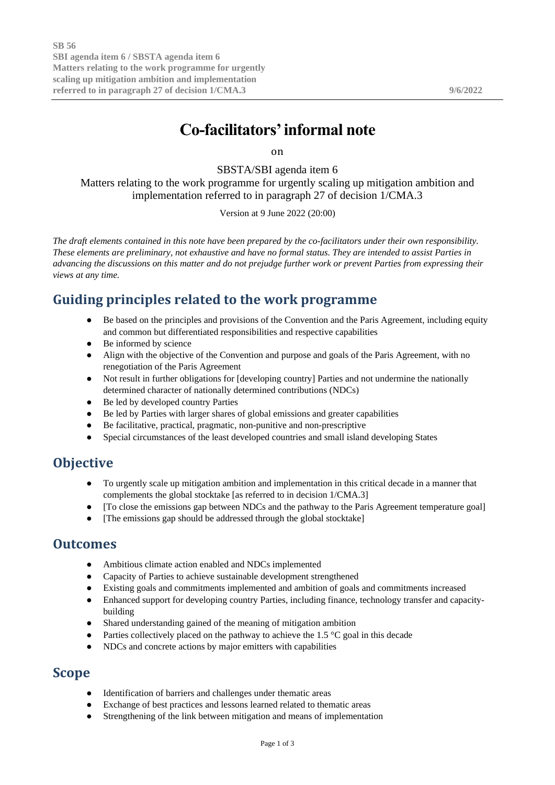# **Co-facilitators'informal note**

on

SBSTA/SBI agenda item 6

Matters relating to the work programme for urgently scaling up mitigation ambition and implementation referred to in paragraph 27 of decision 1/CMA.3

Version at 9 June 2022 (20:00)

*The draft elements contained in this note have been prepared by the co-facilitators under their own responsibility. These elements are preliminary, not exhaustive and have no formal status. They are intended to assist Parties in advancing the discussions on this matter and do not prejudge further work or prevent Parties from expressing their views at any time.*

## **Guiding principles related to the work programme**

- Be based on the principles and provisions of the Convention and the Paris Agreement, including equity and common but differentiated responsibilities and respective capabilities
- Be informed by science
- Align with the objective of the Convention and purpose and goals of the Paris Agreement, with no renegotiation of the Paris Agreement
- Not result in further obligations for [developing country] Parties and not undermine the nationally determined character of nationally determined contributions (NDCs)
- Be led by developed country Parties
- Be led by Parties with larger shares of global emissions and greater capabilities
- Be facilitative, practical, pragmatic, non-punitive and non-prescriptive
- Special circumstances of the least developed countries and small island developing States

### **Objective**

- To urgently scale up mitigation ambition and implementation in this critical decade in a manner that complements the global stocktake [as referred to in decision 1/CMA.3]
- [To close the emissions gap between NDCs and the pathway to the Paris Agreement temperature goal]
- [The emissions gap should be addressed through the global stocktake]

#### **Outcomes**

- Ambitious climate action enabled and NDCs implemented
- Capacity of Parties to achieve sustainable development strengthened
- Existing goals and commitments implemented and ambition of goals and commitments increased
- Enhanced support for developing country Parties, including finance, technology transfer and capacitybuilding
- Shared understanding gained of the meaning of mitigation ambition
- Parties collectively placed on the pathway to achieve the  $1.5 \degree C$  goal in this decade
- NDCs and concrete actions by major emitters with capabilities

### **Scope**

- Identification of barriers and challenges under thematic areas
- Exchange of best practices and lessons learned related to thematic areas
- Strengthening of the link between mitigation and means of implementation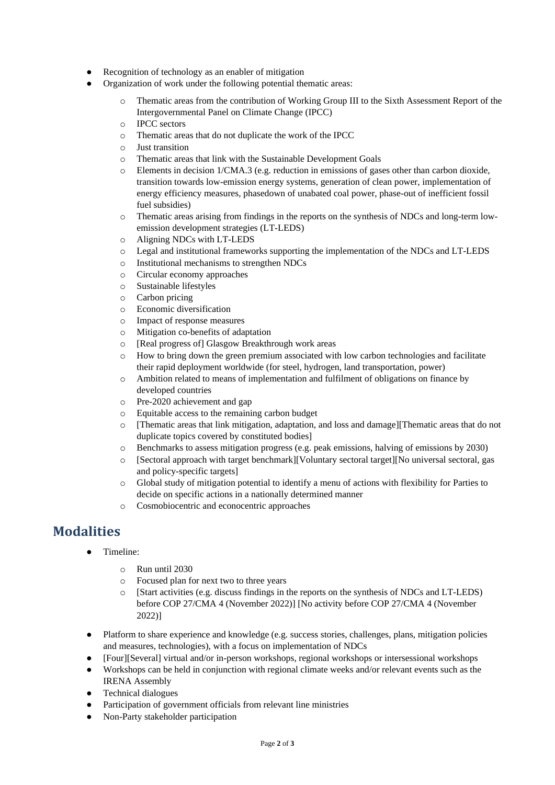- Recognition of technology as an enabler of mitigation
- Organization of work under the following potential thematic areas:
	- o Thematic areas from the contribution of Working Group III to the Sixth Assessment Report of the Intergovernmental Panel on Climate Change (IPCC)
	- o IPCC sectors
	- o Thematic areas that do not duplicate the work of the IPCC
	- o Just transition
	- o Thematic areas that link with the Sustainable Development Goals
	- o Elements in decision 1/CMA.3 (e.g. reduction in emissions of gases other than carbon dioxide, transition towards low-emission energy systems, generation of clean power, implementation of energy efficiency measures, phasedown of unabated coal power, phase-out of inefficient fossil fuel subsidies)
	- o Thematic areas arising from findings in the reports on the synthesis of NDCs and long-term lowemission development strategies (LT-LEDS)
	- o Aligning NDCs with LT-LEDS
	- o Legal and institutional frameworks supporting the implementation of the NDCs and LT-LEDS
	- o Institutional mechanisms to strengthen NDCs
	- o Circular economy approaches
	- o Sustainable lifestyles
	- o Carbon pricing
	- o Economic diversification
	- o Impact of response measures
	- o Mitigation co-benefits of adaptation
	- o [Real progress of] Glasgow Breakthrough work areas
	- o How to bring down the green premium associated with low carbon technologies and facilitate their rapid deployment worldwide (for steel, hydrogen, land transportation, power)
	- o Ambition related to means of implementation and fulfilment of obligations on finance by developed countries
	- o Pre-2020 achievement and gap
	- o Equitable access to the remaining carbon budget
	- o [Thematic areas that link mitigation, adaptation, and loss and damage][Thematic areas that do not duplicate topics covered by constituted bodies]
	- o Benchmarks to assess mitigation progress (e.g. peak emissions, halving of emissions by 2030)
	- o [Sectoral approach with target benchmark][Voluntary sectoral target][No universal sectoral, gas and policy-specific targets]
	- o Global study of mitigation potential to identify a menu of actions with flexibility for Parties to decide on specific actions in a nationally determined manner
	- o Cosmobiocentric and econocentric approaches

# **Modalities**

- Timeline:
	- o Run until 2030
	- o Focused plan for next two to three years
	- o [Start activities (e.g. discuss findings in the reports on the synthesis of NDCs and LT-LEDS) before COP 27/CMA 4 (November 2022)] [No activity before COP 27/CMA 4 (November 2022)]
- Platform to share experience and knowledge (e.g. success stories, challenges, plans, mitigation policies and measures, technologies), with a focus on implementation of NDCs
- [Four][Several] virtual and/or in-person workshops, regional workshops or intersessional workshops
- Workshops can be held in conjunction with regional climate weeks and/or relevant events such as the IRENA Assembly
- Technical dialogues
- Participation of government officials from relevant line ministries
- Non-Party stakeholder participation